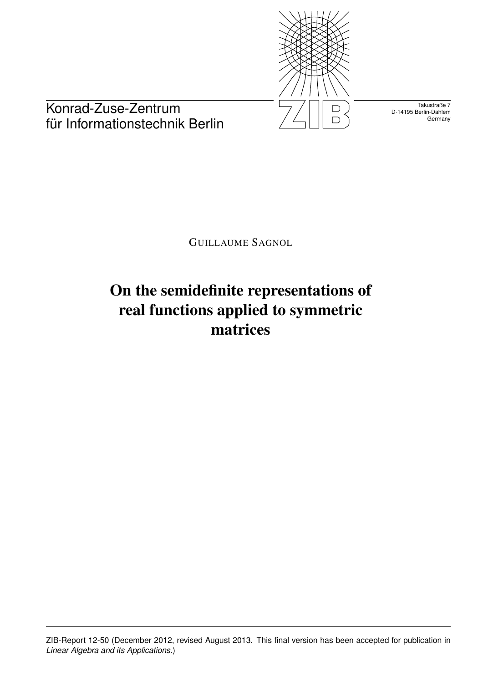

Takustraße 7 D-14195 Berlin-Dahlem **Germany** 

Konrad-Zuse-Zentrum für Informationstechnik Berlin

GUILLAUME SAGNOL

# On the semidefinite representations of real functions applied to symmetric matrices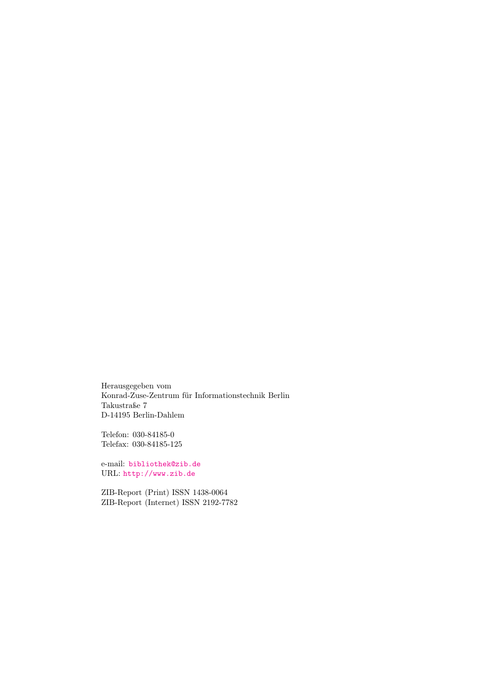Herausgegeben vom Konrad-Zuse-Zentrum für Informationstechnik Berlin Takustraße 7 D-14195 Berlin-Dahlem

Telefon: 030-84185-0 Telefax: 030-84185-125

e-mail: <bibliothek@zib.de> URL: <http://www.zib.de>

ZIB-Report (Print) ISSN 1438-0064 ZIB-Report (Internet) ISSN 2192-7782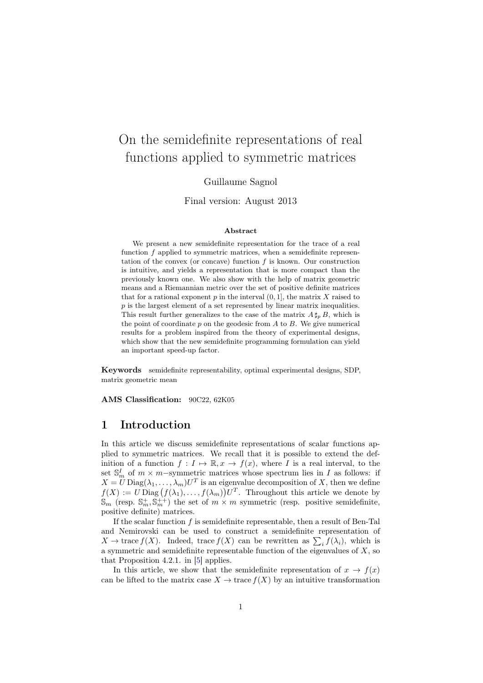## On the semidefinite representations of real functions applied to symmetric matrices

#### Guillaume Sagnol

Final version: August 2013

#### Abstract

We present a new semidefinite representation for the trace of a real function  $f$  applied to symmetric matrices, when a semidefinite representation of the convex (or concave) function  $f$  is known. Our construction is intuitive, and yields a representation that is more compact than the previously known one. We also show with the help of matrix geometric means and a Riemannian metric over the set of positive definite matrices that for a rational exponent  $p$  in the interval  $(0, 1]$ , the matrix  $X$  raised to  $p$  is the largest element of a set represented by linear matrix inequalities. This result further generalizes to the case of the matrix  $A \sharp_p B$ , which is the point of coordinate  $p$  on the geodesic from  $A$  to  $B$ . We give numerical results for a problem inspired from the theory of experimental designs, which show that the new semidefinite programming formulation can yield an important speed-up factor.

Keywords semidefinite representability, optimal experimental designs, SDP, matrix geometric mean

AMS Classification: 90C22, 62K05

#### 1 Introduction

In this article we discuss semidefinite representations of scalar functions applied to symmetric matrices. We recall that it is possible to extend the definition of a function  $f: I \mapsto \mathbb{R}, x \to f(x)$ , where I is a real interval, to the set  $\mathbb{S}_m^I$  of  $m \times m$ -symmetric matrices whose spectrum lies in I as follows: if  $X = U \text{Diag}(\lambda_1, \ldots, \lambda_m) U^T$  is an eigenvalue decomposition of X, then we define  $f(X) := U \text{ Diag}(f(\lambda_1), \ldots, f(\lambda_m))U^T$ . Throughout this article we denote by  $\mathbb{S}_m$  (resp.  $\mathbb{S}_m^+$ ,  $\mathbb{S}_m^{\to+}$ ) the set of  $m \times m$  symmetric (resp. positive semidefinite, positive definite) matrices.

If the scalar function  $f$  is semidefinite representable, then a result of Ben-Tal and Nemirovski can be used to construct a semidefinite representation of  $X \to \text{trace } f(X)$ . Indeed, trace  $f(X)$  can be rewritten as  $\sum_i f(\lambda_i)$ , which is a symmetric and semidefinite representable function of the eigenvalues of  $X$ , so that Proposition 4.2.1. in  $[5]$  applies.

In this article, we show that the semidefinite representation of  $x \to f(x)$ can be lifted to the matrix case  $X \to \text{trace } f(X)$  by an intuitive transformation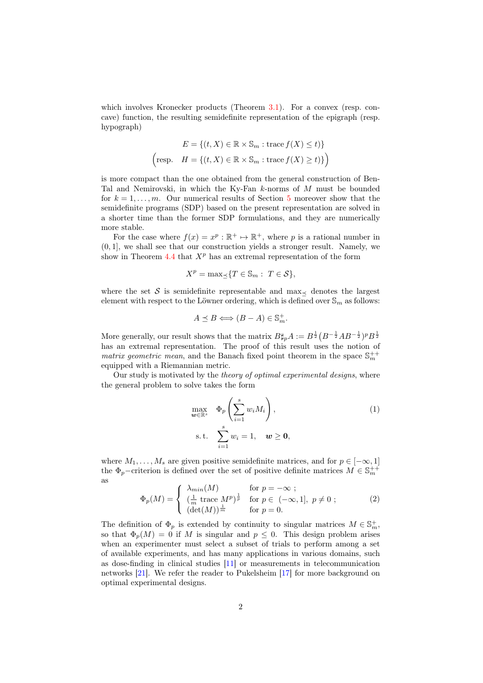which involves Kronecker products (Theorem [3.1\)](#page-5-0). For a convex (resp. concave) function, the resulting semidefinite representation of the epigraph (resp. hypograph)

$$
E = \{(t, X) \in \mathbb{R} \times \mathbb{S}_m : \text{trace } f(X) \le t)\}
$$
  
(resp. 
$$
H = \{(t, X) \in \mathbb{R} \times \mathbb{S}_m : \text{trace } f(X) \ge t)\}
$$
)

is more compact than the one obtained from the general construction of Ben-Tal and Nemirovski, in which the Ky-Fan k-norms of M must be bounded for  $k = 1, \ldots, m$ . Our numerical results of Section [5](#page-13-0) moreover show that the semidefinite programs (SDP) based on the present representation are solved in a shorter time than the former SDP formulations, and they are numerically more stable.

For the case where  $f(x) = x^p : \mathbb{R}^+ \to \mathbb{R}^+$ , where p is a rational number in (0, 1], we shall see that our construction yields a stronger result. Namely, we show in Theorem [4.4](#page-10-0) that  $X^p$  has an extremal representation of the form

$$
X^p = \max_{\preceq} \{ T \in \mathbb{S}_m : T \in \mathcal{S} \},
$$

where the set S is semidefinite representable and max denotes the largest element with respect to the Löwner ordering, which is defined over  $\mathbb{S}_m$  as follows:

$$
A \preceq B \Longleftrightarrow (B - A) \in \mathbb{S}_m^+.
$$

More generally, our result shows that the matrix  $B\sharp_p A := B^{\frac{1}{2}}(B^{-\frac{1}{2}}AB^{-\frac{1}{2}})^pB^{\frac{1}{2}}$ has an extremal representation. The proof of this result uses the notion of matrix geometric mean, and the Banach fixed point theorem in the space  $\mathbb{S}_m^{++}$ equipped with a Riemannian metric.

Our study is motivated by the *theory of optimal experimental designs*, where the general problem to solve takes the form

<span id="page-3-0"></span>
$$
\max_{\mathbf{w} \in \mathbb{R}^s} \quad \Phi_p \left( \sum_{i=1}^s w_i M_i \right),
$$
\n
$$
\text{s.t.} \quad \sum_{i=1}^s w_i = 1, \quad \mathbf{w} \ge \mathbf{0},
$$
\n
$$
(1)
$$

where  $M_1, \ldots, M_s$  are given positive semidefinite matrices, and for  $p \in [-\infty, 1]$ the  $\Phi_p$ -criterion is defined over the set of positive definite matrices  $M \in \mathbb{S}_m^{++}$ as

$$
\Phi_p(M) = \begin{cases}\n\lambda_{min}(M) & \text{for } p = -\infty; \\
\left(\frac{1}{m}\operatorname{trace} M^p\right)^{\frac{1}{p}} & \text{for } p \in (-\infty, 1], p \neq 0; \\
\left(\det(M)\right)^{\frac{1}{m}} & \text{for } p = 0.\n\end{cases}
$$
\n(2)

The definition of  $\Phi_p$  is extended by continuity to singular matrices  $M \in \mathbb{S}_m^+$ , so that  $\Phi_n(M) = 0$  if M is singular and  $p \leq 0$ . This design problem arises when an experimenter must select a subset of trials to perform among a set of available experiments, and has many applications in various domains, such as dose-finding in clinical studies [\[11\]](#page-17-0) or measurements in telecommunication networks [\[21\]](#page-17-1). We refer the reader to Pukelsheim [\[17\]](#page-17-2) for more background on optimal experimental designs.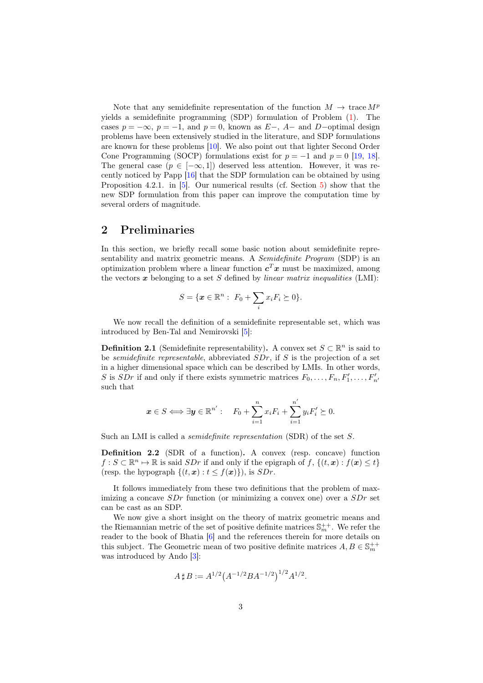Note that any semidefinite representation of the function  $M \to \text{trace } M^p$ yields a semidefinite programming (SDP) formulation of Problem [\(1\)](#page-3-0). The cases  $p = -\infty$ ,  $p = -1$ , and  $p = 0$ , known as  $E-$ ,  $A-$  and  $D-$ optimal design problems have been extensively studied in the literature, and SDP formulations are known for these problems [\[10\]](#page-17-3). We also point out that lighter Second Order Cone Programming (SOCP) formulations exist for  $p = -1$  and  $p = 0$  [\[19,](#page-17-4) [18\]](#page-17-5). The general case  $(p \in [-\infty, 1])$  deserved less attention. However, it was recently noticed by Papp [\[16\]](#page-17-6) that the SDP formulation can be obtained by using Proposition 4.2.1. in [\[5\]](#page-16-0). Our numerical results (cf. Section [5\)](#page-13-0) show that the new SDP formulation from this paper can improve the computation time by several orders of magnitude.

#### 2 Preliminaries

In this section, we briefly recall some basic notion about semidefinite representability and matrix geometric means. A *Semidefinite Program* (SDP) is an optimization problem where a linear function  $c^T x$  must be maximized, among the vectors  $\boldsymbol{x}$  belonging to a set S defined by linear matrix inequalities (LMI):

$$
S = \{ \boldsymbol{x} \in \mathbb{R}^n : F_0 + \sum_i x_i F_i \succeq 0 \}.
$$

We now recall the definition of a semidefinite representable set, which was introduced by Ben-Tal and Nemirovski [\[5\]](#page-16-0):

**Definition 2.1** (Semidefinite representability). A convex set  $S \subset \mathbb{R}^n$  is said to be semidefinite representable, abbreviated SDr, if S is the projection of a set in a higher dimensional space which can be described by LMIs. In other words, S is SDr if and only if there exists symmetric matrices  $F_0, \ldots, F_n, F'_1, \ldots, F'_{n'}$ such that

$$
\boldsymbol{x} \in S \Longleftrightarrow \exists \boldsymbol{y} \in \mathbb{R}^{n'} : \quad F_0 + \sum_{i=1}^n x_i F_i + \sum_{i=1}^{n'} y_i F'_i \succeq 0.
$$

Such an LMI is called a *semidefinite representation* (SDR) of the set S.

Definition 2.2 (SDR of a function). A convex (resp. concave) function  $f: S \subset \mathbb{R}^n \mapsto \mathbb{R}$  is said  $SDr$  if and only if the epigraph of  $f, \{(t, x) : f(x) \le t\}$ (resp. the hypograph  $\{(t, x) : t \leq f(x)\}\)$ , is  $SDr$ .

It follows immediately from these two definitions that the problem of maximizing a concave  $SDr$  function (or minimizing a convex one) over a  $SDr$  set can be cast as an SDP.

We now give a short insight on the theory of matrix geometric means and the Riemannian metric of the set of positive definite matrices  $\mathbb{S}_{m}^{++}$ . We refer the reader to the book of Bhatia [\[6\]](#page-16-1) and the references therein for more details on this subject. The Geometric mean of two positive definite matrices  $A, B \in \mathbb{S}_{m}^{++}$ was introduced by Ando [\[3\]](#page-16-2):

$$
A \,\sharp\, B := A^{1/2} \big( A^{-1/2} B A^{-1/2} \big)^{1/2} A^{1/2}.
$$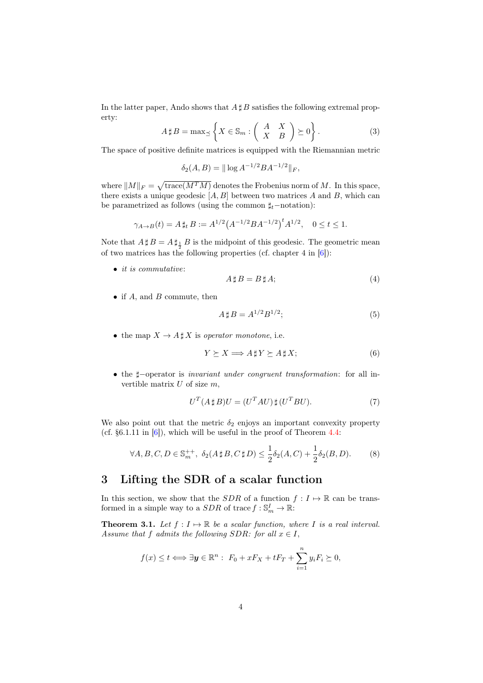In the latter paper, Ando shows that  $A \sharp B$  satisfies the following extremal property:

<span id="page-5-1"></span>
$$
A \sharp B = \max_{\preceq} \left\{ X \in \mathbb{S}_m : \left( \begin{array}{cc} A & X \\ X & B \end{array} \right) \succeq 0 \right\}.
$$
 (3)

The space of positive definite matrices is equipped with the Riemannian metric

$$
\delta_2(A, B) = ||\log A^{-1/2}BA^{-1/2}||_F,
$$

where  $||M||_F = \sqrt{\text{trace}(M^T M)}$  denotes the Frobenius norm of M. In this space, there exists a unique geodesic  $[A, B]$  between two matrices A and B, which can be parametrized as follows (using the common  $\sharp_t$ −notation):

$$
\gamma_{A \to B}(t) = A \sharp_t B := A^{1/2} (A^{-1/2} B A^{-1/2})^t A^{1/2}, \quad 0 \le t \le 1.
$$

Note that  $A \,\sharp\, B = A \,\sharp_{\frac{1}{2}} B$  is the midpoint of this geodesic. The geometric mean of two matrices has the following properties (cf. chapter 4 in  $[6]$ ):

• *it is commutative*:

$$
A \sharp B = B \sharp A; \tag{4}
$$

• if  $A$ , and  $B$  commute, then

<span id="page-5-3"></span>
$$
A \sharp B = A^{1/2} B^{1/2};\tag{5}
$$

• the map  $X \to A \sharp X$  is operator monotone, i.e.

<span id="page-5-2"></span>
$$
Y \succeq X \Longrightarrow A \,\sharp\, Y \succeq A \,\sharp\, X; \tag{6}
$$

• the  $\sharp$ -operator is *invariant under congruent transformation*: for all invertible matrix  $U$  of size  $m$ ,

<span id="page-5-4"></span>
$$
U^T(A \sharp B)U = (U^T A U) \sharp (U^T B U). \tag{7}
$$

We also point out that the metric  $\delta_2$  enjoys an important convexity property (cf.  $\S6.1.11$  in  $[6]$ ), which will be useful in the proof of Theorem [4.4:](#page-10-0)

<span id="page-5-5"></span>
$$
\forall A, B, C, D \in \mathbb{S}_m^{++}, \ \delta_2(A \,\sharp\, B, C \,\sharp\, D) \le \frac{1}{2} \delta_2(A, C) + \frac{1}{2} \delta_2(B, D). \tag{8}
$$

#### 3 Lifting the SDR of a scalar function

In this section, we show that the SDR of a function  $f: I \mapsto \mathbb{R}$  can be transformed in a simple way to a  $SDR$  of trace  $f : \mathbb{S}^I_m \to \mathbb{R}$ :

<span id="page-5-0"></span>**Theorem 3.1.** Let  $f : I \mapsto \mathbb{R}$  be a scalar function, where I is a real interval. Assume that f admits the following SDR: for all  $x \in I$ ,

$$
f(x) \le t \Longleftrightarrow \exists y \in \mathbb{R}^n : F_0 + xF_X + tF_T + \sum_{i=1}^n y_i F_i \succeq 0,
$$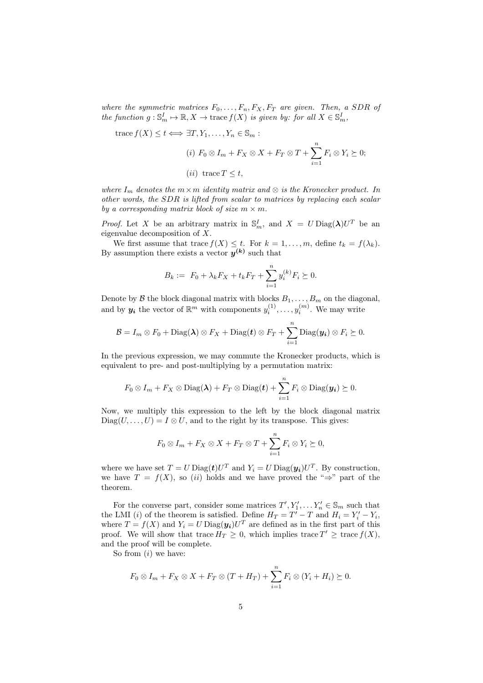where the symmetric matrices  $F_0, \ldots, F_n, F_X, F_T$  are given. Then, a SDR of the function  $g: \mathbb{S}_m^I \mapsto \mathbb{R}, X \to \text{trace } f(X)$  is given by: for all  $X \in \mathbb{S}_m^I$ ,

trace 
$$
f(X) \le t \iff \exists T, Y_1, \dots, Y_n \in \mathbb{S}_m :
$$
  
\n(i)  $F_0 \otimes I_m + F_X \otimes X + F_T \otimes T + \sum_{i=1}^n F_i \otimes Y_i \succeq 0;$   
\n(ii) trace  $T \le t$ ,

where  $I_m$  denotes the  $m \times m$  identity matrix and  $\otimes$  is the Kronecker product. In other words, the SDR is lifted from scalar to matrices by replacing each scalar by a corresponding matrix block of size  $m \times m$ .

*Proof.* Let X be an arbitrary matrix in  $\mathbb{S}_m^I$ , and  $X = U \text{Diag}(\lambda)U^T$  be an eigenvalue decomposition of X.

We first assume that trace  $f(X) \leq t$ . For  $k = 1, ..., m$ , define  $t_k = f(\lambda_k)$ . By assumption there exists a vector  $y^{(k)}$  such that

$$
B_k := F_0 + \lambda_k F_X + t_k F_T + \sum_{i=1}^n y_i^{(k)} F_i \succeq 0.
$$

Denote by  $\mathcal B$  the block diagonal matrix with blocks  $B_1, \ldots, B_m$  on the diagonal, and by  $y_i$  the vector of  $\mathbb{R}^m$  with components  $y_i^{(1)}, \ldots, y_i^{(m)}$ . We may write

$$
\mathcal{B}=I_m\otimes F_0+\mathrm{Diag}(\boldsymbol{\lambda})\otimes F_X+\mathrm{Diag}(\boldsymbol{t})\otimes F_T+\sum_{i=1}^n\mathrm{Diag}(\boldsymbol{y_i})\otimes F_i\succeq 0.
$$

In the previous expression, we may commute the Kronecker products, which is equivalent to pre- and post-multiplying by a permutation matrix:

$$
F_0\otimes I_m + F_X\otimes \text{Diag}(\boldsymbol{\lambda}) + F_T\otimes \text{Diag}(\boldsymbol{t}) + \sum_{i=1}^n F_i\otimes \text{Diag}(\boldsymbol{y_i}) \succeq 0.
$$

Now, we multiply this expression to the left by the block diagonal matrix  $Diag(U, \ldots, U) = I \otimes U$ , and to the right by its transpose. This gives:

$$
F_0 \otimes I_m + F_X \otimes X + F_T \otimes T + \sum_{i=1}^n F_i \otimes Y_i \succeq 0,
$$

where we have set  $T = U \text{Diag}(\mathbf{t}) U^T$  and  $Y_i = U \text{Diag}(\mathbf{y_i}) U^T$ . By construction, we have  $T = f(X)$ , so (ii) holds and we have proved the "⇒" part of the theorem.

For the converse part, consider some matrices  $T', Y'_1, \ldots, Y'_n \in \mathbb{S}_m$  such that the LMI (*i*) of the theorem is satisfied. Define  $H_T = T' - T$  and  $H_i = Y'_i - Y_i$ , where  $T = f(X)$  and  $Y_i = U \text{Diag}(\mathbf{y_i}) U^T$  are defined as in the first part of this proof. We will show that trace  $H_T \geq 0$ , which implies trace  $T' \geq \text{trace } f(X)$ , and the proof will be complete.

So from  $(i)$  we have:

$$
F_0 \otimes I_m + F_X \otimes X + F_T \otimes (T + H_T) + \sum_{i=1}^n F_i \otimes (Y_i + H_i) \succeq 0.
$$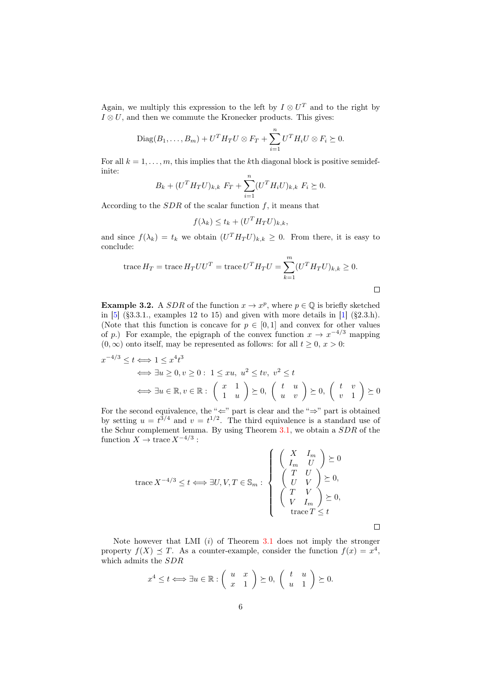Again, we multiply this expression to the left by  $I \otimes U^T$  and to the right by  $I \otimes U$ , and then we commute the Kronecker products. This gives:

$$
\text{Diag}(B_1,\ldots,B_m) + U^T H_T U \otimes F_T + \sum_{i=1}^n U^T H_i U \otimes F_i \succeq 0.
$$

For all  $k = 1, \ldots, m$ , this implies that the kth diagonal block is positive semidefinite:

$$
B_k + (U^T H_T U)_{k,k} F_T + \sum_{i=1}^n (U^T H_i U)_{k,k} F_i \succeq 0.
$$

According to the  $SDR$  of the scalar function  $f$ , it means that

$$
f(\lambda_k) \le t_k + (U^T H_T U)_{k,k},
$$

and since  $f(\lambda_k) = t_k$  we obtain  $(U^T H_T U)_{k,k} \geq 0$ . From there, it is easy to conclude:

trace 
$$
H_T
$$
 = trace  $H_T U U^T$  = trace  $U^T H_T U = \sum_{k=1}^m (U^T H_T U)_{k,k} \ge 0$ .

**Example 3.2.** A SDR of the function  $x \to x^p$ , where  $p \in \mathbb{Q}$  is briefly sketched in  $[5]$  (§3.3.1., examples 12 to 15) and given with more details in  $[1]$  (§2.3.h). (Note that this function is concave for  $p \in [0,1]$  and convex for other values of p.) For example, the epigraph of the convex function  $x \to x^{-4/3}$  mapping  $(0, \infty)$  onto itself, may be represented as follows: for all  $t \geq 0$ ,  $x > 0$ :

$$
x^{-4/3} \le t \Longleftrightarrow 1 \le x^4 t^3
$$
  

$$
\Longleftrightarrow \exists u \ge 0, v \ge 0: 1 \le xu, u^2 \le tv, v^2 \le t
$$
  

$$
\Longleftrightarrow \exists u \in \mathbb{R}, v \in \mathbb{R}: \begin{pmatrix} x & 1 \\ 1 & u \end{pmatrix} \succeq 0, \begin{pmatrix} t & u \\ u & v \end{pmatrix} \succeq 0, \begin{pmatrix} t & v \\ v & 1 \end{pmatrix} \succeq 0
$$

For the second equivalence, the " $\Leftarrow$ " part is clear and the " $\Rightarrow$ " part is obtained by setting  $u = t^{3/4}$  and  $v = t^{1/2}$ . The third equivalence is a standard use of the Schur complement lemma. By using Theorem [3.1,](#page-5-0) we obtain a SDR of the function  $X \to \text{trace } X^{-4/3}$ :

$$
\operatorname{trace} X^{-4/3} \le t \Longleftrightarrow \exists U, V, T \in \mathbb{S}_m : \begin{cases} \begin{pmatrix} X & I_m \\ I_m & U \end{pmatrix} \succeq 0 \\ \begin{pmatrix} T & U \\ U & V \end{pmatrix} \succeq 0, \\ \begin{pmatrix} T & V \\ V & I_m \end{pmatrix} \succeq 0, \\ \begin{pmatrix} T & V \\ V & I_m \end{pmatrix} \succeq 0, \\ \operatorname{trace} T \le t \end{cases}
$$

 $\Box$ 

 $\Box$ 

Note however that LMI  $(i)$  of Theorem [3.1](#page-5-0) does not imply the stronger property  $f(X) \preceq T$ . As a counter-example, consider the function  $f(x) = x^4$ , which admits the SDR

$$
x^4 \le t \Longleftrightarrow \exists u \in \mathbb{R} : \left( \begin{array}{cc} u & x \\ x & 1 \end{array} \right) \succeq 0, \left( \begin{array}{cc} t & u \\ u & 1 \end{array} \right) \succeq 0.
$$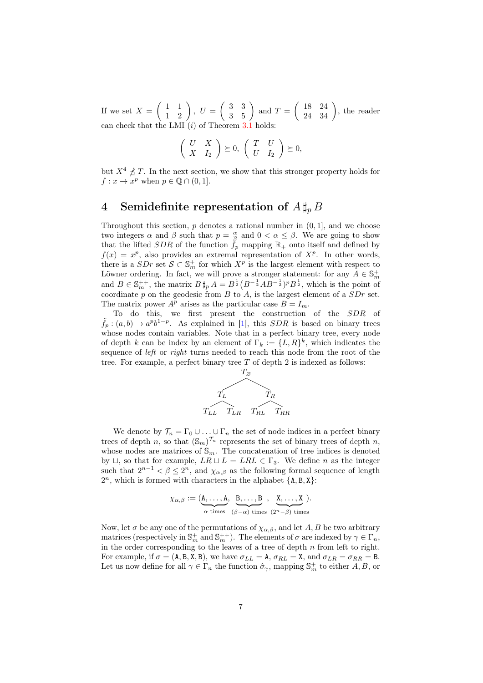If we set  $X = \begin{pmatrix} 1 & 1 \\ 1 & 2 \end{pmatrix}$ ,  $U = \begin{pmatrix} 3 & 3 \\ 3 & 5 \end{pmatrix}$  and  $T = \begin{pmatrix} 18 & 24 \\ 24 & 34 \end{pmatrix}$ , the reader can check that the LMI  $(i)$  of Theorem [3.1](#page-5-0) holds:

$$
\left(\begin{array}{cc} U & X \\ X & I_2 \end{array}\right) \succeq 0, \left(\begin{array}{cc} T & U \\ U & I_2 \end{array}\right) \succeq 0,
$$

but  $X^4 \npreceq T$ . In the next section, we show that this stronger property holds for  $f: x \to x^p$  when  $p \in \mathbb{Q} \cap (0,1].$ 

### 4 Semidefinite representation of  $A \sharp_p B$

Throughout this section,  $p$  denotes a rational number in  $(0, 1]$ , and we choose two integers  $\alpha$  and  $\beta$  such that  $p = \frac{\alpha}{\beta}$  and  $0 < \alpha \leq \beta$ . We are going to show that the lifted SDR of the function  $f_p$  mapping  $\mathbb{R}_+$  onto itself and defined by  $f(x) = x^p$ , also provides an extremal representation of  $X^p$ . In other words, there is a  $SDr$  set  $S \subset \mathbb{S}^+_m$  for which  $X^p$  is the largest element with respect to Löwner ordering. In fact, we will prove a stronger statement: for any  $A \in \mathbb{S}^+_m$ and  $B \in \mathbb{S}_{m}^{++}$ , the matrix  $B \sharp_p A = B^{\frac{1}{2}} (B^{-\frac{1}{2}}AB^{-\frac{1}{2}})^p B^{\frac{1}{2}}$ , which is the point of coordinate p on the geodesic from B to  $A$ , is the largest element of a  $SDr$  set. The matrix power  $A^p$  arises as the particular case  $B = I_m$ .

To do this, we first present the construction of the SDR of  $\tilde{f}_p$ :  $(a,b) \to a^p b^{1-p}$ . As explained in [\[1\]](#page-16-3), this SDR is based on binary trees whose nodes contain variables. Note that in a perfect binary tree, every node of depth k can be index by an element of  $\Gamma_k := \{L, R\}^k$ , which indicates the sequence of *left* or *right* turns needed to reach this node from the root of the tree. For example, a perfect binary tree  $T$  of depth 2 is indexed as follows:



We denote by  $\mathcal{T}_n = \Gamma_0 \cup \ldots \cup \Gamma_n$  the set of node indices in a perfect binary trees of depth n, so that  $(\mathbb{S}_m)^{\mathcal{T}_n}$  represents the set of binary trees of depth n, whose nodes are matrices of  $\mathbb{S}_m$ . The concatenation of tree indices is denoted by  $\sqcup$ , so that for example,  $LR \sqcup L = LRL \in \Gamma_3$ . We define n as the integer such that  $2^{n-1} < \beta \leq 2^n$ , and  $\chi_{\alpha,\beta}$  as the following formal sequence of length  $2^n$ , which is formed with characters in the alphabet  $\{A, B, X\}$ :

$$
\chi_{\alpha,\beta} := (\underbrace{A,\ldots,A}_{\alpha \text{ times}}, \underbrace{B,\ldots,B}_{(\beta-\alpha) \text{ times}}, \underbrace{X,\ldots,X}_{(2^n-\beta) \text{ times}}).
$$

Now, let  $\sigma$  be any one of the permutations of  $\chi_{\alpha,\beta}$ , and let A, B be two arbitrary matrices (respectively in  $\mathbb{S}_m^+$  and  $\mathbb{S}_m^{++}$ ). The elements of  $\sigma$  are indexed by  $\gamma \in \Gamma_n$ , in the order corresponding to the leaves of a tree of depth  $n$  from left to right. For example, if  $\sigma = (A, B, X, B)$ , we have  $\sigma_{LL} = A$ ,  $\sigma_{RL} = X$ , and  $\sigma_{LR} = \sigma_{RR} = B$ . Let us now define for all  $\gamma \in \Gamma_n$  the function  $\hat{\sigma}_{\gamma}$ , mapping  $\mathbb{S}_m^+$  to either  $A, B$ , or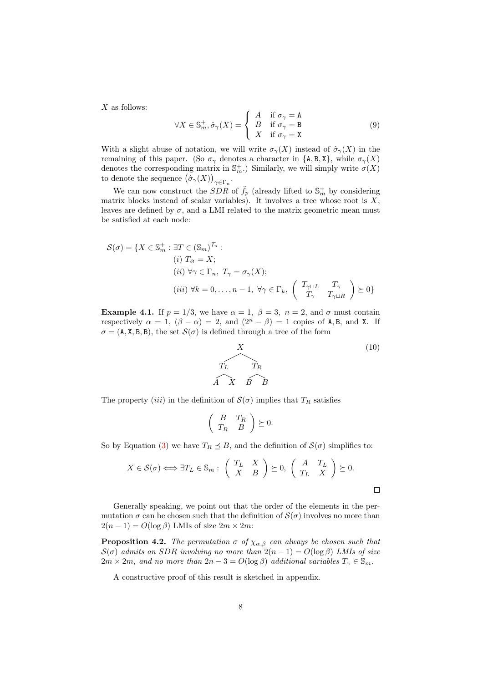$X$  as follows:

$$
\forall X \in \mathbb{S}_m^+, \hat{\sigma}_\gamma(X) = \begin{cases} A & \text{if } \sigma_\gamma = \mathbf{A} \\ B & \text{if } \sigma_\gamma = \mathbf{B} \\ X & \text{if } \sigma_\gamma = \mathbf{X} \end{cases}
$$
(9)

With a slight abuse of notation, we will write  $\sigma_{\gamma}(X)$  instead of  $\hat{\sigma}_{\gamma}(X)$  in the remaining of this paper. (So  $\sigma_{\gamma}$  denotes a character in {A, B, X}, while  $\sigma_{\gamma}(X)$ denotes the corresponding matrix in  $\mathbb{S}_m^+$ .) Similarly, we will simply write  $\sigma(X)$ to denote the sequence  $(\hat{\sigma}_{\gamma}(X))_{\gamma \in \Gamma_n}$ .

We can now construct the  $SDR$  of  $\tilde{f}_p$  (already lifted to  $\mathbb{S}^+_m$  by considering matrix blocks instead of scalar variables). It involves a tree whose root is  $X$ , leaves are defined by  $\sigma$ , and a LMI related to the matrix geometric mean must be satisfied at each node:

$$
\mathcal{S}(\sigma) = \{ X \in \mathbb{S}_m^+ : \exists T \in (\mathbb{S}_m)^{\mathcal{T}_n} : (i) \ T_{\varnothing} = X; (ii) \ \forall \gamma \in \Gamma_n, \ T_{\gamma} = \sigma_{\gamma}(X); (iii) \ \forall k = 0, \dots, n - 1, \ \forall \gamma \in \Gamma_k, \ \left( \begin{array}{cc} T_{\gamma \sqcup L} & T_{\gamma} \\ T_{\gamma} & T_{\gamma \sqcup R} \end{array} \right) \succeq 0 \}
$$

**Example 4.1.** If  $p = 1/3$ , we have  $\alpha = 1$ ,  $\beta = 3$ ,  $n = 2$ , and  $\sigma$  must contain respectively  $\alpha = 1$ ,  $(\beta - \alpha) = 2$ , and  $(2^{n} - \beta) = 1$  copies of A, B, and X. If  $\sigma = (A, X, B, B)$ , the set  $\mathcal{S}(\sigma)$  is defined through a tree of the form

<span id="page-9-0"></span>

The property (iii) in the definition of  $\mathcal{S}(\sigma)$  implies that  $T_R$  satisfies

$$
\left(\begin{array}{cc} B & T_R \\ T_R & B \end{array}\right) \succeq 0.
$$

So by Equation [\(3\)](#page-5-1) we have  $T_R \preceq B$ , and the definition of  $\mathcal{S}(\sigma)$  simplifies to:

$$
X \in \mathcal{S}(\sigma) \Longleftrightarrow \exists T_L \in \mathbb{S}_m : \begin{pmatrix} T_L & X \\ X & B \end{pmatrix} \succeq 0, \begin{pmatrix} A & T_L \\ T_L & X \end{pmatrix} \succeq 0.
$$

Generally speaking, we point out that the order of the elements in the permutation  $\sigma$  can be chosen such that the definition of  $\mathcal{S}(\sigma)$  involves no more than  $2(n-1) = O(\log \beta)$  LMIs of size  $2m \times 2m$ :

<span id="page-9-1"></span>**Proposition 4.2.** The permutation  $\sigma$  of  $\chi_{\alpha,\beta}$  can always be chosen such that  $S(\sigma)$  admits an SDR involving no more than  $2(n-1) = O(\log \beta)$  LMIs of size  $2m \times 2m$ , and no more than  $2n - 3 = O(\log \beta)$  additional variables  $T_{\gamma} \in \mathbb{S}_m$ .

A constructive proof of this result is sketched in appendix.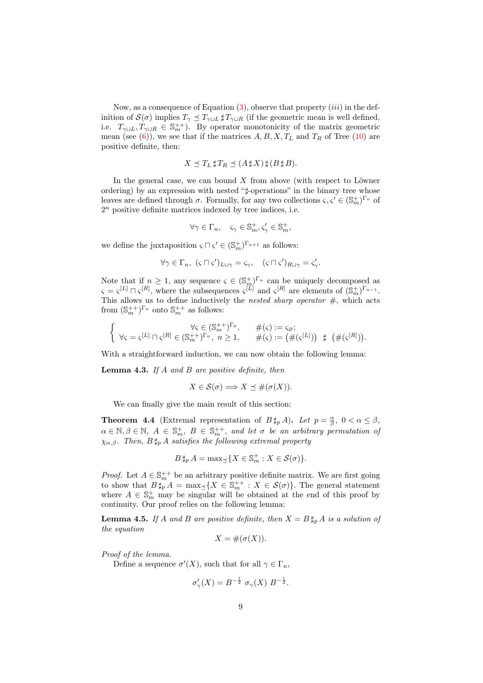Now, as a consequence of Equation  $(3)$ , observe that property  $(iii)$  in the definition of  $\mathcal{S}(\sigma)$  implies  $T_{\gamma} \preceq T_{\gamma \sqcup L}$   $\sharp T_{\gamma \sqcup R}$  (if the geometric mean is well defined, i.e.  $T_{\gamma\sqcup L}, T_{\gamma\sqcup R} \in \mathbb{S}_{m}^{++}$ . By operator monotonicity of the matrix geometric mean (see [\(6\)](#page-5-2)), we see that if the matrices  $A, B, X, T<sub>L</sub>$  and  $T<sub>R</sub>$  of Tree [\(10\)](#page-9-0) are positive definite, then:

$$
X \preceq T_L \sharp T_R \preceq (A \sharp X) \sharp (B \sharp B).
$$

In the general case, we can bound  $X$  from above (with respect to Löwner ordering) by an expression with nested "]-operations" in the binary tree whose leaves are defined through  $\sigma$ . Formally, for any two collections  $\zeta, \zeta' \in (\mathbb{S}_m^+)^{\Gamma_n}$  of  $2<sup>n</sup>$  positive definite matrices indexed by tree indices, i.e.

$$
\forall \gamma \in \Gamma_n, \quad \varsigma_{\gamma} \in \mathbb{S}_m^+, \varsigma_{\gamma}' \in \mathbb{S}_m^+,
$$

we define the juxtaposition  $\varsigma \sqcap \varsigma' \in (\mathbb{S}_m^+)^{\Gamma_{n+1}}$  as follows:

$$
\forall \gamma \in \Gamma_n, \ (\varsigma \sqcap \varsigma')_{L \sqcup \gamma} = \varsigma_{\gamma}, \quad (\varsigma \sqcap \varsigma')_{R \sqcup \gamma} = \varsigma'_{\gamma}.
$$

Note that if  $n \geq 1$ , any sequence  $\varsigma \in (\mathbb{S}_m^+)^{\Gamma_n}$  can be uniquely decomposed as  $\varsigma = \varsigma^{[L]} \sqcap \varsigma^{[R]},$  where the subsequences  $\varsigma^{[L]}$  and  $\varsigma^{[R]}$  are elements of  $(\mathbb{S}_m^+)^{\Gamma_{n-1}}$ . This allows us to define inductively the *nested sharp operator*  $\#$ , which acts from  $(\mathbb{S}_m^{++})^{\Gamma_n}$  onto  $\mathbb{S}_m^{++}$  as follows:

$$
\left\{\begin{array}{ccc} \forall \varsigma\in(\mathbb{S}^{++}_m)^{\Gamma_0}, & \#(\varsigma):=\varsigma_{\varnothing}; \\ \forall \varsigma=\varsigma^{[L]}\sqcap \varsigma^{[R]}\in(\mathbb{S}^{++}_m)^{\Gamma_n},\ n\geq 1, & \#(\varsigma):=\big(\#(\varsigma^{[L]})\big) \ \ \sharp\ \ \big(\#(\varsigma^{[R]})\big). \end{array}\right.
$$

With a straightforward induction, we can now obtain the following lemma:

**Lemma 4.3.** If  $A$  and  $B$  are positive definite, then

$$
X \in \mathcal{S}(\sigma) \Longrightarrow X \preceq \#(\sigma(X)).
$$

We can finally give the main result of this section:

<span id="page-10-0"></span>**Theorem 4.4** (Extremal representation of  $B \sharp_p A$ ). Let  $p = \frac{\alpha}{\beta}$ ,  $0 < \alpha \le \beta$ ,  $\alpha \in \mathbb{N}, \beta \in \mathbb{N}, A \in \mathbb{S}_m^+, B \in \mathbb{S}_m^{++}$ , and let  $\sigma$  be an arbitrary permutation of  $\chi_{\alpha,\beta}$ . Then,  $B \sharp_p A$  satisfies the following extremal property

$$
B\,\sharp_p\,A = \max_{\preceq} \{ X \in \mathbb{S}_m^+ : X \in \mathcal{S}(\sigma) \}.
$$

*Proof.* Let  $A \in \mathbb{S}_{m}^{++}$  be an arbitrary positive definite matrix. We are first going to show that  $B\sharp_p^* A = \max_{\preceq} \{ X \in \mathbb{S}_m^{++} : X \in \mathcal{S}(\sigma) \}.$  The general statement where  $A \in \mathbb{S}_m^+$  may be singular will be obtained at the end of this proof by continuity. Our proof relies on the following lemma:

<span id="page-10-1"></span>**Lemma 4.5.** If A and B are positive definite, then  $X = B \sharp_p A$  is a solution of the equation

$$
X = \#(\sigma(X)).
$$

Proof of the lemma.

Define a sequence  $\sigma'(X)$ , such that for all  $\gamma \in \Gamma_n$ ,

$$
\sigma'_{\gamma}(X) = B^{-\frac{1}{2}} \sigma_{\gamma}(X) B^{-\frac{1}{2}}.
$$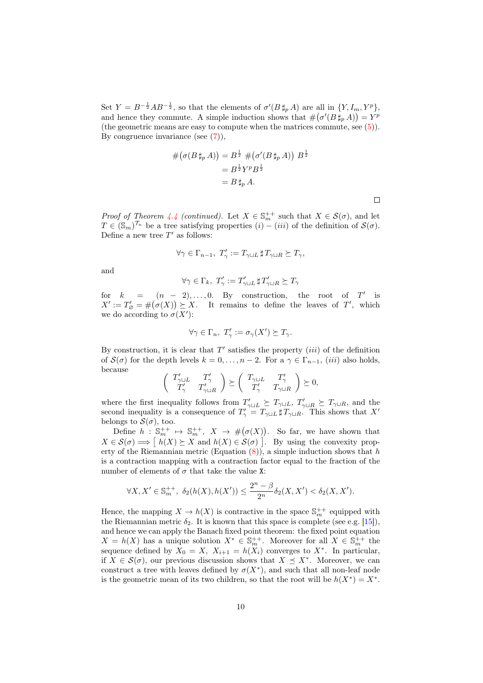Set  $Y = B^{-\frac{1}{2}}AB^{-\frac{1}{2}}$ , so that the elements of  $\sigma'(B \sharp_p A)$  are all in  $\{Y, I_m, Y^p\}$ , and hence they commute. A simple induction shows that  $\#(\sigma'(B\,\sharp_p A)) = Y^p$ (the geometric means are easy to compute when the matrices commute, see [\(5\)](#page-5-3)). By congruence invariance (see  $(7)$ ),

$$
\#(\sigma(B\,\sharp_p A)) = B^{\frac{1}{2}} \#(\sigma'(B\,\sharp_p A)) B^{\frac{1}{2}}
$$

$$
= B^{\frac{1}{2}} Y^p B^{\frac{1}{2}}
$$

$$
= B \,\sharp_p A.
$$

 $\Box$ 

*Proof of Theorem [4.4](#page-10-0) (continued).* Let  $X \in \mathbb{S}_{m}^{++}$  such that  $X \in \mathcal{S}(\sigma)$ , and let  $T \in (\mathbb{S}_m)^{\mathcal{T}_n}$  be a tree satisfying properties  $(i) - (iii)$  of the definition of  $\mathcal{S}(\sigma)$ . Define a new tree  $T'$  as follows:

$$
\forall \gamma \in \Gamma_{n-1}, \ T'_{\gamma} := T_{\gamma \sqcup L} \, \sharp \, T_{\gamma \sqcup R} \succeq T_{\gamma},
$$

and

$$
\forall \gamma \in \Gamma_k, \ T_\gamma' := T_{\gamma \sqcup L}' \ \sharp \ T_{\gamma \sqcup R}' \succeq T_\gamma
$$

for  $k = (n - 2), \ldots, 0$ . By construction, the root of T' is  $X' := T'_{\varnothing} = \#(\sigma(X)) \succeq X$ . It remains to define the leaves of T', which we do according to  $\sigma(X')$ :

$$
\forall \gamma \in \Gamma_n, \ T'_\gamma := \sigma_\gamma(X') \succeq T_\gamma.
$$

By construction, it is clear that  $T'$  satisfies the property *(iii)* of the definition of  $\mathcal{S}(\sigma)$  for the depth levels  $k = 0, \ldots, n-2$ . For a  $\gamma \in \Gamma_{n-1}$ , *(iii)* also holds, because

$$
\left(\begin{array}{cc}T'_{\gamma\sqcup L} & T'_{\gamma}\\T'_{\gamma} & T'_{\gamma\sqcup R}\end{array}\right)\succeq \left(\begin{array}{cc}T_{\gamma\sqcup L} & T'_{\gamma}\\T'_{\gamma} & T_{\gamma\sqcup R}\end{array}\right)\succeq 0,
$$

where the first inequality follows from  $T'_{\gamma\sqcup L} \succeq T_{\gamma\sqcup L}$ ,  $T'_{\gamma\sqcup R} \succeq T_{\gamma\sqcup R}$ , and the second inequality is a consequence of  $T'_{\gamma} = T_{\gamma \sqcup L} \sharp T_{\gamma \sqcup R}$ . This shows that X<sup>1</sup> belongs to  $\mathcal{S}(\sigma)$ , too.

Define  $h: \mathbb{S}_m^{++} \mapsto \mathbb{S}_m^{++}$ ,  $X \to \#(\sigma(X))$ . So far, we have shown that  $X \in \mathcal{S}(\sigma) \Longrightarrow \begin{bmatrix} h(X) \succeq X \end{bmatrix}$  and  $h(X) \in \mathcal{S}(\sigma)$ . By using the convexity property of the Riemannian metric (Equation  $(8)$ ), a simple induction shows that h is a contraction mapping with a contraction factor equal to the fraction of the number of elements of  $\sigma$  that take the value X:

$$
\forall X, X' \in \mathbb{S}_m^{++}, \ \delta_2(h(X), h(X')) \le \frac{2^n - \beta}{2^n} \delta_2(X, X') < \delta_2(X, X').
$$

Hence, the mapping  $X \to h(X)$  is contractive in the space  $\mathbb{S}_m^{++}$  equipped with the Riemannian metric  $\delta_2$ . It is known that this space is complete (see e.g. [\[15\]](#page-17-7)), and hence we can apply the Banach fixed point theorem: the fixed point equation  $X = h(X)$  has a unique solution  $X^* \in \mathbb{S}_{m}^{++}$ . Moreover for all  $X \in \mathbb{S}_{m}^{++}$  the sequence defined by  $X_0 = X$ ,  $X_{i+1} = h(X_i)$  converges to  $X^*$ . In particular, if  $X \in \mathcal{S}(\sigma)$ , our previous discussion shows that  $X \preceq X^*$ . Moreover, we can construct a tree with leaves defined by  $\sigma(X^*)$ , and such that all non-leaf node is the geometric mean of its two children, so that the root will be  $h(X^*) = X^*$ .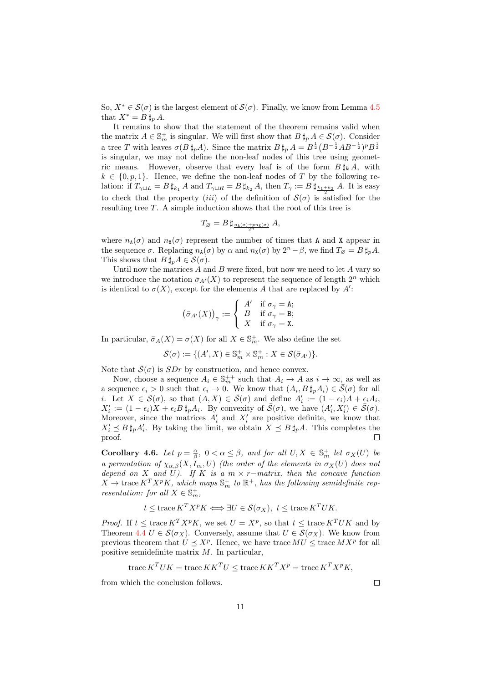So,  $X^* \in \mathcal{S}(\sigma)$  is the largest element of  $\mathcal{S}(\sigma)$ . Finally, we know from Lemma [4.5](#page-10-1) that  $X^* = B \sharp_p A$ .

It remains to show that the statement of the theorem remains valid when the matrix  $A \in \mathbb{S}_m^+$  is singular. We will first show that  $B \sharp_p A \in \mathcal{S}(\sigma)$ . Consider a tree T with leaves  $\sigma(B\,\sharp_p A)$ . Since the matrix  $B\,\sharp_p A = B^{\frac{1}{2}}(B^{-\frac{1}{2}}AB^{-\frac{1}{2}})^pB^{\frac{1}{2}}$ is singular, we may not define the non-leaf nodes of this tree using geometric means. However, observe that every leaf is of the form  $B \sharp_k A$ , with  $k \in \{0, p, 1\}$ . Hence, we define the non-leaf nodes of T by the following relation: if  $T_{\gamma \sqcup L} = B \sharp_{k_1} A$  and  $T_{\gamma \sqcup R} = B \sharp_{k_2} A$ , then  $T_{\gamma} := B \sharp_{\frac{k_1 + k_2}{2}} A$ . It is easy to check that the property *(iii)* of the definition of  $S(\sigma)$  is satisfied for the resulting tree T. A simple induction shows that the root of this tree is

$$
T_{\varnothing} = B \,\sharp_{\frac{n_{\mathtt{A}}(\sigma) + pn_{\mathtt{X}}(\sigma)}{2^n}}\,A,
$$

where  $n_{\mathbf{A}}(\sigma)$  and  $n_{\mathbf{X}}(\sigma)$  represent the number of times that A and X appear in the sequence  $\sigma$ . Replacing  $n_{\mathbf{A}}(\sigma)$  by  $\alpha$  and  $n_{\mathbf{X}}(\sigma)$  by  $2^n - \beta$ , we find  $T_{\varnothing} = B \sharp_p A$ . This shows that  $B \sharp_p A \in \mathcal{S}(\sigma)$ .

Until now the matrices  $A$  and  $B$  were fixed, but now we need to let  $A$  vary so we introduce the notation  $\bar{\sigma}_{A'}(X)$  to represent the sequence of length  $2^n$  which is identical to  $\sigma(X)$ , except for the elements A that are replaced by A':

$$
(\bar{\sigma}_{A'}(X))_{\gamma} := \left\{ \begin{array}{ll} A' & \text{if } \sigma_{\gamma} = \texttt{A}; \\ B & \text{if } \sigma_{\gamma} = \texttt{B}; \\ X & \text{if } \sigma_{\gamma} = \texttt{X}. \end{array} \right.
$$

In particular,  $\bar{\sigma}_A(X) = \sigma(X)$  for all  $X \in \mathbb{S}_m^+$ . We also define the set

$$
\bar{\mathcal{S}}(\sigma) := \{ (A', X) \in \mathbb{S}_m^+ \times \mathbb{S}_m^+ : X \in \mathcal{S}(\bar{\sigma}_{A'}) \}.
$$

Note that  $\bar{S}(\sigma)$  is  $SDr$  by construction, and hence convex.

Now, choose a sequence  $A_i \in \mathbb{S}_m^{++}$  such that  $A_i \to A$  as  $i \to \infty$ , as well as a sequence  $\epsilon_i > 0$  such that  $\epsilon_i \to 0$ . We know that  $(A_i, B \sharp_p A_i) \in \overline{S}(\sigma)$  for all *i*. Let  $X \in \mathcal{S}(\sigma)$ , so that  $(A, X) \in \overline{\mathcal{S}}(\sigma)$  and define  $A_i' := (1 - \epsilon_i)A + \epsilon_i A_i$ ,  $X'_i := (1 - \epsilon_i)X + \epsilon_i B \sharp_p A_i$ . By convexity of  $\bar{S}(\sigma)$ , we have  $(A'_i, X'_i) \in \bar{S}(\sigma)$ . Moreover, since the matrices  $A'_i$  and  $X'_i$  are positive definite, we know that  $X_i' \preceq B \sharp_p A_i'$ . By taking the limit, we obtain  $X \preceq B \sharp_p A$ . This completes the proof. П

Corollary 4.6. Let  $p = \frac{\alpha}{\beta}$ ,  $0 < \alpha \le \beta$ , and for all  $U, X \in \mathbb{S}^+_m$  let  $\sigma_X(U)$  be a permutation of  $\chi_{\alpha,\beta}(X, I_m, U)$  (the order of the elements in  $\sigma_X(U)$  does not depend on X and U). If K is a  $m \times r$  – matrix, then the concave function  $X \to \text{trace } K^T X^p K$ , which maps  $\mathbb{S}_m^+$  to  $\mathbb{R}^+$ , has the following semidefinite representation: for all  $X \in \mathbb{S}_m^+$ ,

$$
t \leq \operatorname{trace} K^T X^p K \Longleftrightarrow \exists U \in \mathcal{S}(\sigma_X), t \leq \operatorname{trace} K^T UK.
$$

*Proof.* If  $t \leq \text{trace } K^T X^p K$ , we set  $U = X^p$ , so that  $t \leq \text{trace } K^T UK$  and by Theorem [4.4](#page-10-0)  $U \in \mathcal{S}(\sigma_X)$ . Conversely, assume that  $U \in \mathcal{S}(\sigma_X)$ . We know from previous theorem that  $U \preceq X^p$ . Hence, we have trace  $MU \leq \text{trace } MX^p$  for all positive semidefinite matrix M. In particular,

trace 
$$
K^T UK
$$
 = trace  $KK^T U \leq$ trace  $KK^T X^p$  = trace  $K^T X^p K$ ,

from which the conclusion follows.

 $\Box$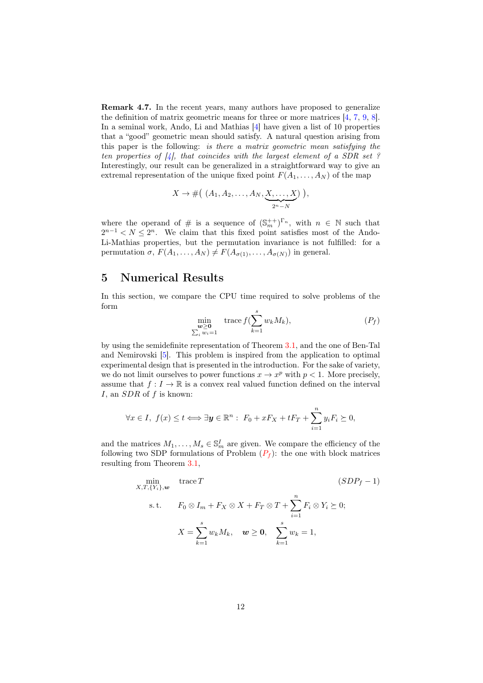Remark 4.7. In the recent years, many authors have proposed to generalize the definition of matrix geometric means for three or more matrices [\[4,](#page-16-4) [7,](#page-16-5) [9,](#page-16-6) [8\]](#page-16-7). In a seminal work, Ando, Li and Mathias [\[4\]](#page-16-4) have given a list of 10 properties that a "good" geometric mean should satisfy. A natural question arising from this paper is the following: is there a matrix geometric mean satisfying the ten properties of  $\mathcal{A}$ , that coincides with the largest element of a SDR set ? Interestingly, our result can be generalized in a straightforward way to give an extremal representation of the unique fixed point  $F(A_1, \ldots, A_N)$  of the map

$$
X \to \# \big( (A_1, A_2, \ldots, A_N, \underbrace{X, \ldots, X}_{2^n - N} ) \big),
$$

where the operand of  $\#$  is a sequence of  $(\mathbb{S}_m^{++})^{\Gamma_n}$ , with  $n \in \mathbb{N}$  such that  $2^{n-1} < N \leq 2^n$ . We claim that this fixed point satisfies most of the Ando-Li-Mathias properties, but the permutation invariance is not fulfilled: for a permutation  $\sigma$ ,  $F(A_1, \ldots, A_N) \neq F(A_{\sigma(1)}, \ldots, A_{\sigma(N)})$  in general.

#### <span id="page-13-0"></span>5 Numerical Results

In this section, we compare the CPU time required to solve problems of the form

<span id="page-13-3"></span><span id="page-13-1"></span>
$$
\min_{\substack{\boldsymbol{w} \ge \boldsymbol{0} \\ \sum_i w_i = 1}} \text{trace } f(\sum_{k=1}^s w_k M_k), \tag{P_f}
$$

by using the semidefinite representation of Theorem [3.1,](#page-5-0) and the one of Ben-Tal and Nemirovski [\[5\]](#page-16-0). This problem is inspired from the application to optimal experimental design that is presented in the introduction. For the sake of variety, we do not limit ourselves to power functions  $x \to x^p$  with  $p < 1$ . More precisely, assume that  $f: I \to \mathbb{R}$  is a convex real valued function defined on the interval  $I$ , an  $SDR$  of  $f$  is known:

$$
\forall x \in I, \ f(x) \le t \Longleftrightarrow \exists \mathbf{y} \in \mathbb{R}^n : \ F_0 + xF_X + tF_T + \sum_{i=1}^n y_i F_i \succeq 0,
$$

and the matrices  $M_1, \ldots, M_s \in \mathbb{S}_m^I$  are given. We compare the efficiency of the following two SD[P](#page-13-1) formulations of Problem  $(P_f)$ : the one with block matrices resulting from Theorem [3.1,](#page-5-0)

<span id="page-13-2"></span>
$$
\min_{X,T,\{Y_i\},\boldsymbol{w}} \text{trace } T \qquad (SDP_f - 1)
$$
\n
$$
\text{s.t.} \qquad F_0 \otimes I_m + F_X \otimes X + F_T \otimes T + \sum_{i=1}^n F_i \otimes Y_i \succeq 0;
$$
\n
$$
X = \sum_{k=1}^s w_k M_k, \quad \boldsymbol{w} \geq \mathbf{0}, \quad \sum_{k=1}^s w_k = 1,
$$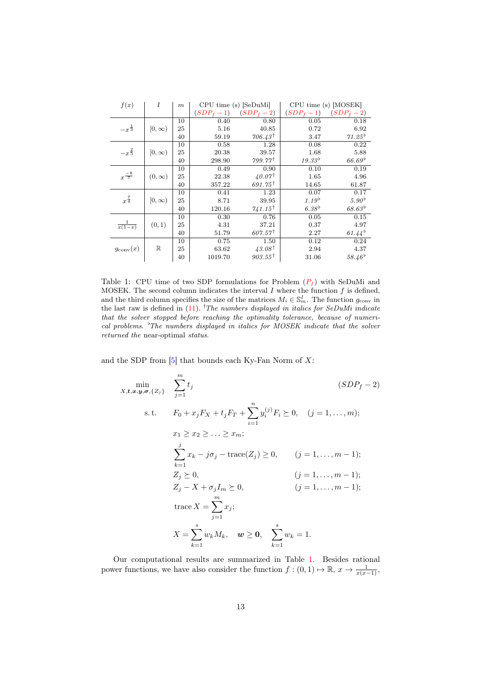| f(x)                 | Ι            | $\boldsymbol{m}$ | $CPU time(s)$ [SeDuMi] |                    | CPU time (s) [MOSEK] |                    |
|----------------------|--------------|------------------|------------------------|--------------------|----------------------|--------------------|
|                      |              |                  | $(SDP_f-1)$            | $(SDP_f-2)$        | $(SDP_f-1)$          | $(SDP_f - 2)$      |
|                      |              | 10               | 0.40                   | 0.80               | 0.05                 | 0.18               |
| $-x^{\frac{1}{3}}$   | $[0,\infty)$ | 25               | 5.16                   | 40.85              | 0.72                 | 6.92               |
|                      |              | 40               | 59.19                  | $706.43^{\dagger}$ | 3.47                 | $71.25^{b}$        |
|                      |              | 10               | 0.58                   | 1.28               | 0.08                 | 0.22               |
| $-x^{\frac{2}{5}}$   | $[0,\infty)$ | 25               | 20.38                  | 39.57              | 1.68                 | 5.88               |
|                      |              | 40               | 298.90                 | $799.77^{\dagger}$ | $19.33^{b}$          | 66.69 <sup>b</sup> |
|                      |              | 10               | 0.49                   | 0.90               | 0.10                 | 0.19               |
| $x^{\frac{-8}{7}}$   | $(0,\infty)$ | 25               | 22.38                  | $40.07^{\dagger}$  | 1.65                 | 4.96               |
|                      |              | 40               | 357.22                 | $691.75^{\dagger}$ | 14.65                | 61.87              |
|                      |              | 10               | 0.41                   | 1.23               | 0.07                 | 0.17               |
| $x^{\frac{7}{4}}$    | $[0,\infty)$ | 25               | 8.71                   | 39.95              | $1.19^{b}$           | 5.90 <sup>b</sup>  |
|                      |              | 40               | 120.16                 | $741.15^{\dagger}$ | 6.38 <sup>b</sup>    | $68.63^{b}$        |
|                      |              | 10               | 0.30                   | 0.76               | 0.05                 | 0.15               |
| $\frac{1}{x(1-x)}$   | (0, 1)       | 25               | 4.31                   | 37.21              | 0.37                 | 4.97               |
|                      |              | 40               | 51.79                  | $607.57^{\dagger}$ | 2.27                 | $61.44^{b}$        |
|                      |              | 10               | 0.75                   | 1.50               | 0.12                 | 0.24               |
| $g_{\text{conv}}(x)$ | $\mathbb R$  | 25               | 63.62                  | $43.08^{\dagger}$  | 2.94                 | 4.37               |
|                      |              | 40               | 1019.70                | $903.55^{\dagger}$ | 31.06                | $58.46^{b}$        |

<span id="page-14-1"></span>Table 1: C[P](#page-13-1)U time of two SDP formulations for Problem  $(P_f)$  with SeDuMi and MOSEK. The second column indicates the interval  $I$  where the function  $f$  is defined, and the third column specifies the size of the matrices  $M_i \in \mathbb{S}_m^I$ . The function  $g_{\text{conv}}$  in the last raw is defined in  $(11)$ . <sup>†</sup>The numbers displayed in italics for SeDuMi indicate that the solver stopped before reaching the optimality tolerance, because of numerical problems.  ${}^{\flat}$ The numbers displayed in italics for MOSEK indicate that the solver returned the near-optimal status.

and the SDP from  $[5]$  that bounds each Ky-Fan Norm of X:

<span id="page-14-0"></span>
$$
\min_{X, t, x, y, \sigma, \{Z_j\}} \sum_{j=1}^{m} t_j
$$
\n
$$
\text{s.t.} \quad F_0 + x_j F_X + t_j F_T + \sum_{i=1}^{n} y_i^{(j)} F_i \ge 0, \quad (j = 1, ..., m);
$$
\n
$$
x_1 \ge x_2 \ge ... \ge x_m;
$$
\n
$$
\sum_{k=1}^{j} x_k - j \sigma_j - \text{trace}(Z_j) \ge 0, \quad (j = 1, ..., m - 1);
$$
\n
$$
Z_j \ge 0, \quad (j = 1, ..., m - 1);
$$
\n
$$
Z_j - X + \sigma_j I_m \ge 0, \quad (j = 1, ..., m - 1);
$$
\n
$$
\text{trace } X = \sum_{j=1}^{m} x_j;
$$
\n
$$
X = \sum_{k=1}^{s} w_k M_k, \quad w \ge 0, \quad \sum_{k=1}^{s} w_k = 1.
$$
\n(1)

Our computational results are summarized in Table [1.](#page-14-1) Besides rational power functions, we have also consider the function  $f : (0,1) \mapsto \mathbb{R}$ ,  $x \to \frac{1}{x(x-1)}$ ,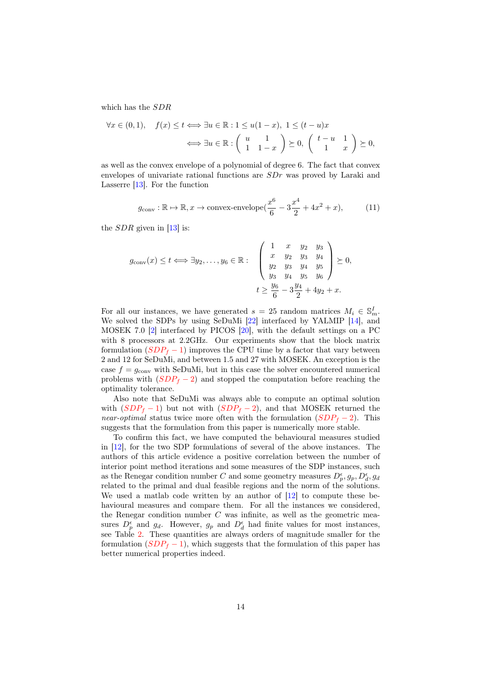which has the SDR

$$
\forall x \in (0,1), \quad f(x) \le t \Longleftrightarrow \exists u \in \mathbb{R} : 1 \le u(1-x), \ 1 \le (t-u)x
$$

$$
\Longleftrightarrow \exists u \in \mathbb{R} : \left(\begin{array}{cc} u & 1 \\ 1 & 1-x \end{array}\right) \succeq 0, \ \left(\begin{array}{cc} t-u & 1 \\ 1 & x \end{array}\right) \succeq 0,
$$

as well as the convex envelope of a polynomial of degree 6. The fact that convex envelopes of univariate rational functions are SDr was proved by Laraki and Lasserre [\[13\]](#page-17-8). For the function

$$
g_{\text{conv}} : \mathbb{R} \to \mathbb{R}, x \to \text{convex-envelope} \left(\frac{x^6}{6} - 3\frac{x^4}{2} + 4x^2 + x\right),\tag{11}
$$

the  $SDR$  given in [\[13\]](#page-17-8) is:

$$
g_{\text{conv}}(x) \leq t \Longleftrightarrow \exists y_2, \dots, y_6 \in \mathbb{R} : \begin{pmatrix} 1 & x & y_2 & y_3 \\ x & y_2 & y_3 & y_4 \\ y_2 & y_3 & y_4 & y_5 \\ y_3 & y_4 & y_5 & y_6 \end{pmatrix} \succeq 0,
$$

$$
t \geq \frac{y_6}{6} - 3\frac{y_4}{2} + 4y_2 + x.
$$

For all our instances, we have generated  $s = 25$  random matrices  $M_i \in \mathbb{S}_m^I$ . We solved the SDPs by using SeDuMi [\[22\]](#page-17-9) interfaced by YALMIP [\[14\]](#page-17-10), and MOSEK 7.0 [\[2\]](#page-16-8) interfaced by PICOS [\[20\]](#page-17-11), with the default settings on a PC with 8 processors at 2.2GHz. Our experiments show that the block matrix formulation  $(SDP_f - 1)$  $(SDP_f - 1)$  $(SDP_f - 1)$  improves the CPU time by a factor that vary between 2 and 12 for SeDuMi, and between 1.5 and 27 with MOSEK. An exception is the case  $f = g_{\text{conv}}$  with SeDuMi, but in this case the solver encountered numerical problems with  $(SDP_f - 2)$  $(SDP_f - 2)$  $(SDP_f - 2)$  and stopped the computation before reaching the optimality tolerance.

Also note that SeDuMi was always able to compute an optimal solution with  $(SDP_f - 1)$  $(SDP_f - 1)$  $(SDP_f - 1)$  but not with  $(SDP_f - 2)$ , and that MOSEK returned the *near-optimal* status twice more often with the formulation  $(SDP_f - 2)$  $(SDP_f - 2)$  $(SDP_f - 2)$ . This suggests that the formulation from this paper is numerically more stable.

To confirm this fact, we have computed the behavioural measures studied in [\[12\]](#page-17-12), for the two SDP formulations of several of the above instances. The authors of this article evidence a positive correlation between the number of interior point method iterations and some measures of the SDP instances, such as the Renegar condition number C and some geometry measures  $D_p^{\epsilon}, g_p, D_d^{\epsilon}, g_d$ related to the primal and dual feasible regions and the norm of the solutions. We used a matlab code written by an author of [\[12\]](#page-17-12) to compute these behavioural measures and compare them. For all the instances we considered, the Renegar condition number  $C$  was infinite, as well as the geometric measures  $D_p^{\epsilon}$  and  $g_d$ . However,  $g_p$  and  $D_d^{\epsilon}$  had finite values for most instances, see Table [2.](#page-16-9) These quantities are always orders of magnitude smaller for the formulation  $(SDP_f - 1)$  $(SDP_f - 1)$  $(SDP_f - 1)$ , which suggests that the formulation of this paper has better numerical properties indeed.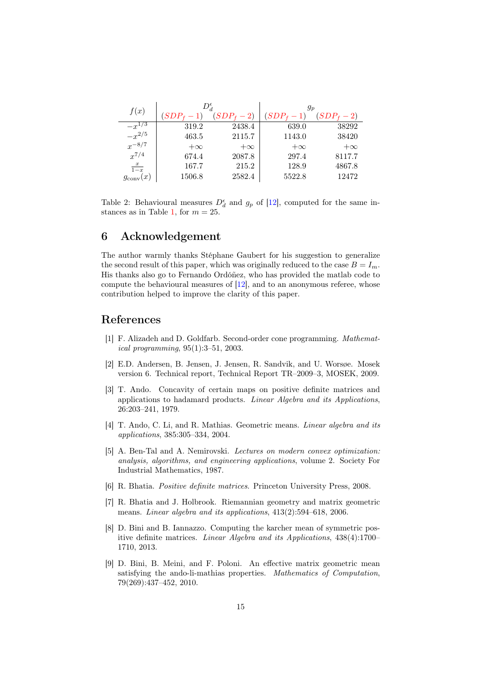| f(x)                 |           | $D_d^\epsilon$ | $g_{\bm p}$ |                    |  |
|----------------------|-----------|----------------|-------------|--------------------|--|
|                      |           |                | $SDP_{f}$   | $SDP_{f}$<br>$-2)$ |  |
| $-x^{1/3}$           | 319.2     | 2438.4         | 639.0       | 38292              |  |
| $-x^{2/5}$           | 463.5     | 2115.7         | 1143.0      | 38420              |  |
| $x^{-8/7}$           | $+\infty$ | $+\infty$      | $+\infty$   | $+\infty$          |  |
| $x^{7/4}$            | 674.4     | 2087.8         | 297.4       | 8117.7             |  |
| $\frac{x}{1-x}$      | 167.7     | 215.2          | 128.9       | 4867.8             |  |
| $g_{\text{conv}}(x)$ | 1506.8    | 2582.4         | 5522.8      | 12472              |  |

<span id="page-16-9"></span>Table 2: Behavioural measures  $D_d^{\epsilon}$  and  $g_p$  of [\[12\]](#page-17-12), computed for the same in-stances as in Table [1,](#page-14-1) for  $m = 25$ .

#### 6 Acknowledgement

The author warmly thanks Stéphane Gaubert for his suggestion to generalize the second result of this paper, which was originally reduced to the case  $B = I_m$ . His thanks also go to Fernando Ordóñez, who has provided the matlab code to compute the behavioural measures of [\[12\]](#page-17-12), and to an anonymous referee, whose contribution helped to improve the clarity of this paper.

#### References

- <span id="page-16-3"></span>[1] F. Alizadeh and D. Goldfarb. Second-order cone programming. Mathematical programming, 95(1):3–51, 2003.
- <span id="page-16-8"></span>[2] E.D. Andersen, B. Jensen, J. Jensen, R. Sandvik, and U. Worsøe. Mosek version 6. Technical report, Technical Report TR–2009–3, MOSEK, 2009.
- <span id="page-16-2"></span>[3] T. Ando. Concavity of certain maps on positive definite matrices and applications to hadamard products. Linear Algebra and its Applications, 26:203–241, 1979.
- <span id="page-16-4"></span>[4] T. Ando, C. Li, and R. Mathias. Geometric means. *Linear algebra and its* applications, 385:305–334, 2004.
- <span id="page-16-0"></span>[5] A. Ben-Tal and A. Nemirovski. Lectures on modern convex optimization: analysis, algorithms, and engineering applications, volume 2. Society For Industrial Mathematics, 1987.
- <span id="page-16-1"></span>[6] R. Bhatia. Positive definite matrices. Princeton University Press, 2008.
- <span id="page-16-5"></span>[7] R. Bhatia and J. Holbrook. Riemannian geometry and matrix geometric means. Linear algebra and its applications, 413(2):594–618, 2006.
- <span id="page-16-7"></span>[8] D. Bini and B. Iannazzo. Computing the karcher mean of symmetric positive definite matrices. Linear Algebra and its Applications, 438(4):1700– 1710, 2013.
- <span id="page-16-6"></span>[9] D. Bini, B. Meini, and F. Poloni. An effective matrix geometric mean satisfying the ando-li-mathias properties. Mathematics of Computation, 79(269):437–452, 2010.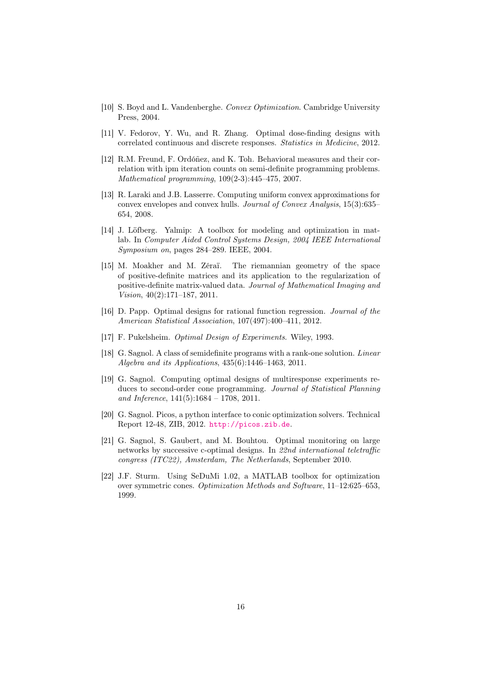- <span id="page-17-3"></span>[10] S. Boyd and L. Vandenberghe. Convex Optimization. Cambridge University Press, 2004.
- <span id="page-17-0"></span>[11] V. Fedorov, Y. Wu, and R. Zhang. Optimal dose-finding designs with correlated continuous and discrete responses. Statistics in Medicine, 2012.
- <span id="page-17-12"></span>[12] R.M. Freund, F. Ordóñez, and K. Toh. Behavioral measures and their correlation with ipm iteration counts on semi-definite programming problems. Mathematical programming, 109(2-3):445–475, 2007.
- <span id="page-17-8"></span>[13] R. Laraki and J.B. Lasserre. Computing uniform convex approximations for convex envelopes and convex hulls. Journal of Convex Analysis, 15(3):635– 654, 2008.
- <span id="page-17-10"></span>[14] J. Löfberg. Yalmip: A toolbox for modeling and optimization in matlab. In Computer Aided Control Systems Design, 2004 IEEE International Symposium on, pages 284–289. IEEE, 2004.
- <span id="page-17-7"></span>[15] M. Moakher and M. Zéraï. The riemannian geometry of the space of positive-definite matrices and its application to the regularization of positive-definite matrix-valued data. Journal of Mathematical Imaging and Vision, 40(2):171–187, 2011.
- <span id="page-17-6"></span>[16] D. Papp. Optimal designs for rational function regression. Journal of the American Statistical Association, 107(497):400–411, 2012.
- <span id="page-17-2"></span>[17] F. Pukelsheim. Optimal Design of Experiments. Wiley, 1993.
- <span id="page-17-5"></span>[18] G. Sagnol. A class of semidefinite programs with a rank-one solution. Linear Algebra and its Applications, 435(6):1446–1463, 2011.
- <span id="page-17-4"></span>[19] G. Sagnol. Computing optimal designs of multiresponse experiments reduces to second-order cone programming. Journal of Statistical Planning and Inference,  $141(5):1684 - 1708$ , 2011.
- <span id="page-17-11"></span>[20] G. Sagnol. Picos, a python interface to conic optimization solvers. Technical Report 12-48, ZIB, 2012. <http://picos.zib.de>.
- <span id="page-17-1"></span>[21] G. Sagnol, S. Gaubert, and M. Bouhtou. Optimal monitoring on large networks by successive c-optimal designs. In 22nd international teletraffic congress (ITC22), Amsterdam, The Netherlands, September 2010.
- <span id="page-17-9"></span>[22] J.F. Sturm. Using SeDuMi 1.02, a MATLAB toolbox for optimization over symmetric cones. Optimization Methods and Software, 11–12:625–653, 1999.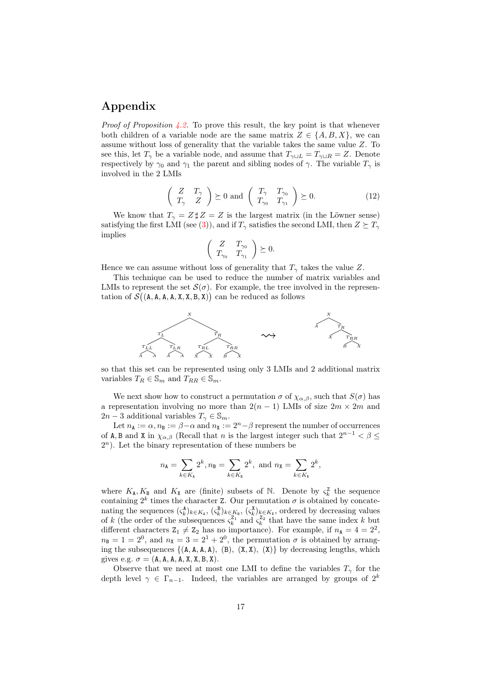#### Appendix

*Proof of Proposition [4.2.](#page-9-1)* To prove this result, the key point is that whenever both children of a variable node are the same matrix  $Z \in \{A, B, X\}$ , we can assume without loss of generality that the variable takes the same value Z. To see this, let  $T_{\gamma}$  be a variable node, and assume that  $T_{\gamma\sqcup L} = T_{\gamma\sqcup R} = Z$ . Denote respectively by  $\gamma_0$  and  $\gamma_1$  the parent and sibling nodes of  $\gamma$ . The variable  $T_\gamma$  is involved in the 2 LMIs

$$
\left(\begin{array}{cc} Z & T_{\gamma} \\ T_{\gamma} & Z \end{array}\right) \succeq 0 \text{ and } \left(\begin{array}{cc} T_{\gamma} & T_{\gamma_0} \\ T_{\gamma_0} & T_{\gamma_1} \end{array}\right) \succeq 0. \tag{12}
$$

We know that  $T_{\gamma} = Z \sharp Z = Z$  is the largest matrix (in the Löwner sense) satisfying the first LMI (see [\(3\)](#page-5-1)), and if  $T_{\gamma}$  satisfies the second LMI, then  $Z \succeq T_{\gamma}$ implies

$$
\left(\begin{array}{cc} Z & T_{\gamma_0} \\ T_{\gamma_0} & T_{\gamma_1} \end{array}\right) \succeq 0.
$$

Hence we can assume without loss of generality that  $T_{\gamma}$  takes the value Z.

This technique can be used to reduce the number of matrix variables and LMIs to represent the set  $\mathcal{S}(\sigma)$ . For example, the tree involved in the representation of  $\mathcal{S}((A, A, A, X, X, B, X))$  can be reduced as follows



so that this set can be represented using only 3 LMIs and 2 additional matrix variables  $T_R \in \mathbb{S}_m$  and  $T_{RR} \in \mathbb{S}_m$ .

We next show how to construct a permutation  $\sigma$  of  $\chi_{\alpha,\beta}$ , such that  $S(\sigma)$  has a representation involving no more than  $2(n-1)$  LMIs of size  $2m \times 2m$  and  $2n-3$  additional variables  $T_{\gamma} \in \mathbb{S}_m$ .

Let  $n_A := \alpha$ ,  $n_B := \beta - \alpha$  and  $n_X := 2^n - \beta$  represent the number of occurrences of A, B and X in  $\chi_{\alpha,\beta}$  (Recall that n is the largest integer such that  $2^{n-1} < \beta \le$  $2<sup>n</sup>$ ). Let the binary representation of these numbers be

$$
n_{A} = \sum_{k \in K_{A}} 2^{k}, n_{B} = \sum_{k \in K_{B}} 2^{k}, \text{ and } n_{X} = \sum_{k \in K_{X}} 2^{k},
$$

where  $K_{\mathbf{A}}, K_{\mathbf{B}}$  and  $K_{\mathbf{X}}$  are (finite) subsets of N. Denote by  $\varsigma_k^{\mathbf{Z}}$  the sequence containing  $2^k$  times the character Z. Our permutation  $\sigma$  is obtained by concatenating the sequences  $(\zeta_k^{\mathbf{A}})_{k \in K_{\mathbf{A}}}, (\zeta_k^{\mathbf{B}})_{k \in K_{\mathbf{B}}}, (\zeta_k^{\mathbf{X}})_{k \in K_{\mathbf{X}}}$ , ordered by decreasing values of k (the order of the subsequences  $\zeta_k^{\mathbb{Z}_1}$  and  $\zeta_k^{\mathbb{Z}_2}$  that have the same index k but different characters  $Z_1 \neq Z_2$  has no importance). For example, if  $n_A = 4 = 2^2$ ,  $n_{\rm B} = 1 = 2^0$ , and  $n_{\rm X} = 3 = 2^1 + 2^0$ , the permutation  $\sigma$  is obtained by arranging the subsequences  $\{(A, A, A, A), (B), (X, X), (X)\}\$  by decreasing lengths, which gives e.g.  $\sigma = (A, A, A, A, X, X, B, X)$ .

Observe that we need at most one LMI to define the variables  $T_{\gamma}$  for the depth level  $\gamma \in \Gamma_{n-1}$ . Indeed, the variables are arranged by groups of  $2^k$